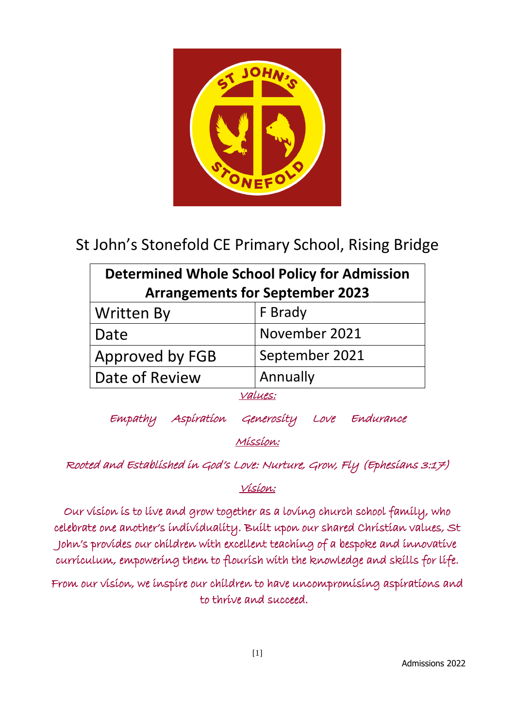

# St John's Stonefold CE Primary School, Rising Bridge

| <b>Determined Whole School Policy for Admission</b> |                |
|-----------------------------------------------------|----------------|
| <b>Arrangements for September 2023</b>              |                |
| <b>Written By</b>                                   | F Brady        |
| Date                                                | November 2021  |
| Approved by FGB                                     | September 2021 |
| Date of Review                                      | Annually       |
| 'LUES:                                              |                |

Empathy Aspiration Generosity Love Endurance

Mission:

Rooted and Established in God's Love: Nurture, Grow, Fly (Ephesians 3:17)

Vision:

Our vision is to live and grow together as a loving church school family, who celebrate one another's individuality. Built upon our shared Christian values, St John's provides our children with excellent teaching of a bespoke and innovative curriculum, empowering them to flourish with the knowledge and skills for life.

From our vision, we inspire our children to have uncompromising aspirations and to thrive and succeed.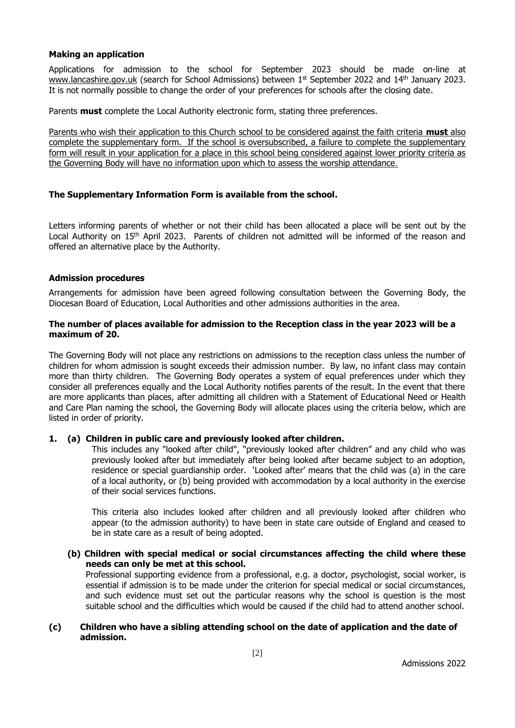#### **Making an application**

Applications for admission to the school for September 2023 should be made on-line at [www.lancashire.gov.uk](http://www.lancashire.gov.uk/) (search for School Admissions) between 1<sup>st</sup> September 2022 and 14<sup>th</sup> January 2023. It is not normally possible to change the order of your preferences for schools after the closing date.

Parents **must** complete the Local Authority electronic form, stating three preferences.

Parents who wish their application to this Church school to be considered against the faith criteria **must** also complete the supplementary form. If the school is oversubscribed, a failure to complete the supplementary form will result in your application for a place in this school being considered against lower priority criteria as the Governing Body will have no information upon which to assess the worship attendance.

#### **The Supplementary Information Form is available from the school.**

Letters informing parents of whether or not their child has been allocated a place will be sent out by the Local Authority on 15<sup>th</sup> April 2023. Parents of children not admitted will be informed of the reason and offered an alternative place by the Authority.

#### **Admission procedures**

Arrangements for admission have been agreed following consultation between the Governing Body, the Diocesan Board of Education, Local Authorities and other admissions authorities in the area.

#### **The number of places available for admission to the Reception class in the year 2023 will be a maximum of 20.**

The Governing Body will not place any restrictions on admissions to the reception class unless the number of children for whom admission is sought exceeds their admission number. By law, no infant class may contain more than thirty children. The Governing Body operates a system of equal preferences under which they consider all preferences equally and the Local Authority notifies parents of the result. In the event that there are more applicants than places, after admitting all children with a Statement of Educational Need or Health and Care Plan naming the school, the Governing Body will allocate places using the criteria below, which are listed in order of priority.

#### **1. (a) Children in public care and previously looked after children.**

This includes any "looked after child", "previously looked after children" and any child who was previously looked after but immediately after being looked after became subject to an adoption, residence or special guardianship order. 'Looked after' means that the child was (a) in the care of a local authority, or (b) being provided with accommodation by a local authority in the exercise of their social services functions.

This criteria also includes looked after children and all previously looked after children who appear (to the admission authority) to have been in state care outside of England and ceased to be in state care as a result of being adopted.

**(b) Children with special medical or social circumstances affecting the child where these needs can only be met at this school.**

Professional supporting evidence from a professional, e.g. a doctor, psychologist, social worker, is essential if admission is to be made under the criterion for special medical or social circumstances, and such evidence must set out the particular reasons why the school is question is the most suitable school and the difficulties which would be caused if the child had to attend another school.

#### **(c) Children who have a sibling attending school on the date of application and the date of admission.**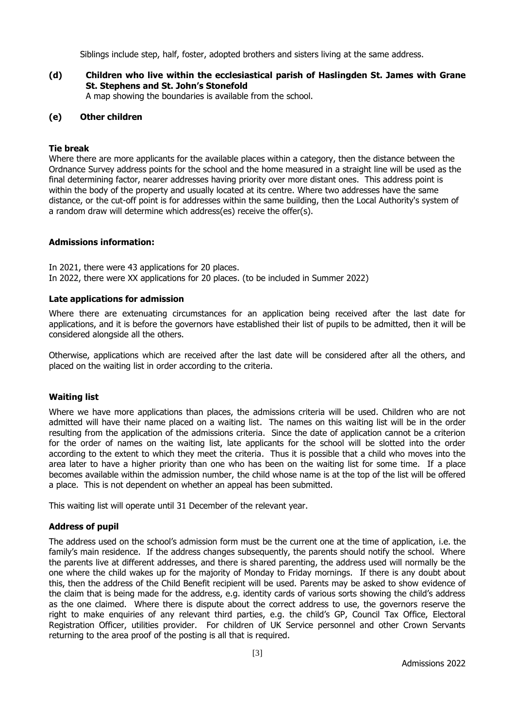Siblings include step, half, foster, adopted brothers and sisters living at the same address.

**(d) Children who live within the ecclesiastical parish of Haslingden St. James with Grane St. Stephens and St. John's Stonefold**  A map showing the boundaries is available from the school.

#### **(e) Other children**

#### **Tie break**

Where there are more applicants for the available places within a category, then the distance between the Ordnance Survey address points for the school and the home measured in a straight line will be used as the final determining factor, nearer addresses having priority over more distant ones. This address point is within the body of the property and usually located at its centre. Where two addresses have the same distance, or the cut-off point is for addresses within the same building, then the Local Authority's system of a random draw will determine which address(es) receive the offer(s).

#### **Admissions information:**

In 2021, there were 43 applications for 20 places. In 2022, there were XX applications for 20 places. (to be included in Summer 2022)

#### **Late applications for admission**

Where there are extenuating circumstances for an application being received after the last date for applications, and it is before the governors have established their list of pupils to be admitted, then it will be considered alongside all the others.

Otherwise, applications which are received after the last date will be considered after all the others, and placed on the waiting list in order according to the criteria.

#### **Waiting list**

Where we have more applications than places, the admissions criteria will be used. Children who are not admitted will have their name placed on a waiting list. The names on this waiting list will be in the order resulting from the application of the admissions criteria. Since the date of application cannot be a criterion for the order of names on the waiting list, late applicants for the school will be slotted into the order according to the extent to which they meet the criteria. Thus it is possible that a child who moves into the area later to have a higher priority than one who has been on the waiting list for some time. If a place becomes available within the admission number, the child whose name is at the top of the list will be offered a place. This is not dependent on whether an appeal has been submitted.

This waiting list will operate until 31 December of the relevant year.

#### **Address of pupil**

The address used on the school's admission form must be the current one at the time of application, i.e. the family's main residence. If the address changes subsequently, the parents should notify the school. Where the parents live at different addresses, and there is shared parenting, the address used will normally be the one where the child wakes up for the majority of Monday to Friday mornings. If there is any doubt about this, then the address of the Child Benefit recipient will be used. Parents may be asked to show evidence of the claim that is being made for the address, e.g. identity cards of various sorts showing the child's address as the one claimed. Where there is dispute about the correct address to use, the governors reserve the right to make enquiries of any relevant third parties, e.g. the child's GP, Council Tax Office, Electoral Registration Officer, utilities provider. For children of UK Service personnel and other Crown Servants returning to the area proof of the posting is all that is required.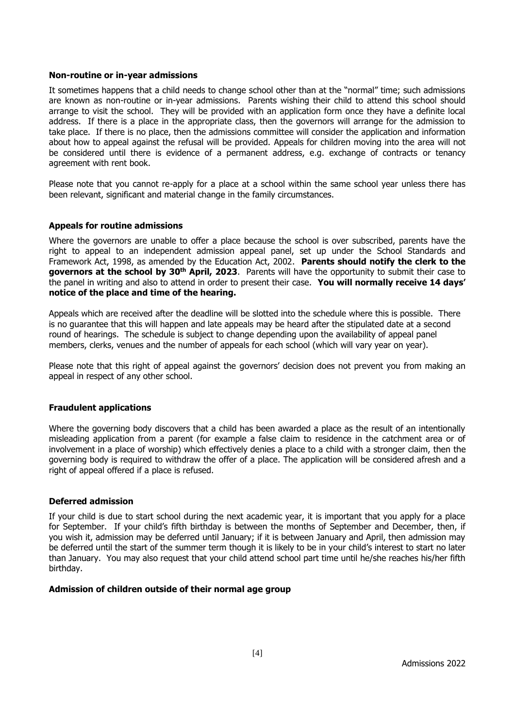#### **Non-routine or in-year admissions**

It sometimes happens that a child needs to change school other than at the "normal" time; such admissions are known as non-routine or in-year admissions. Parents wishing their child to attend this school should arrange to visit the school. They will be provided with an application form once they have a definite local address. If there is a place in the appropriate class, then the governors will arrange for the admission to take place. If there is no place, then the admissions committee will consider the application and information about how to appeal against the refusal will be provided. Appeals for children moving into the area will not be considered until there is evidence of a permanent address, e.g. exchange of contracts or tenancy agreement with rent book.

Please note that you cannot re-apply for a place at a school within the same school year unless there has been relevant, significant and material change in the family circumstances.

#### **Appeals for routine admissions**

Where the governors are unable to offer a place because the school is over subscribed, parents have the right to appeal to an independent admission appeal panel, set up under the School Standards and Framework Act, 1998, as amended by the Education Act, 2002. **Parents should notify the clerk to the governors at the school by 30th April, 2023**. Parents will have the opportunity to submit their case to the panel in writing and also to attend in order to present their case. **You will normally receive 14 days' notice of the place and time of the hearing.**

Appeals which are received after the deadline will be slotted into the schedule where this is possible. There is no guarantee that this will happen and late appeals may be heard after the stipulated date at a second round of hearings. The schedule is subject to change depending upon the availability of appeal panel members, clerks, venues and the number of appeals for each school (which will vary year on year).

Please note that this right of appeal against the governors' decision does not prevent you from making an appeal in respect of any other school.

#### **Fraudulent applications**

Where the governing body discovers that a child has been awarded a place as the result of an intentionally misleading application from a parent (for example a false claim to residence in the catchment area or of involvement in a place of worship) which effectively denies a place to a child with a stronger claim, then the governing body is required to withdraw the offer of a place. The application will be considered afresh and a right of appeal offered if a place is refused.

#### **Deferred admission**

If your child is due to start school during the next academic year, it is important that you apply for a place for September. If your child's fifth birthday is between the months of September and December, then, if you wish it, admission may be deferred until January; if it is between January and April, then admission may be deferred until the start of the summer term though it is likely to be in your child's interest to start no later than January. You may also request that your child attend school part time until he/she reaches his/her fifth birthday.

#### **Admission of children outside of their normal age group**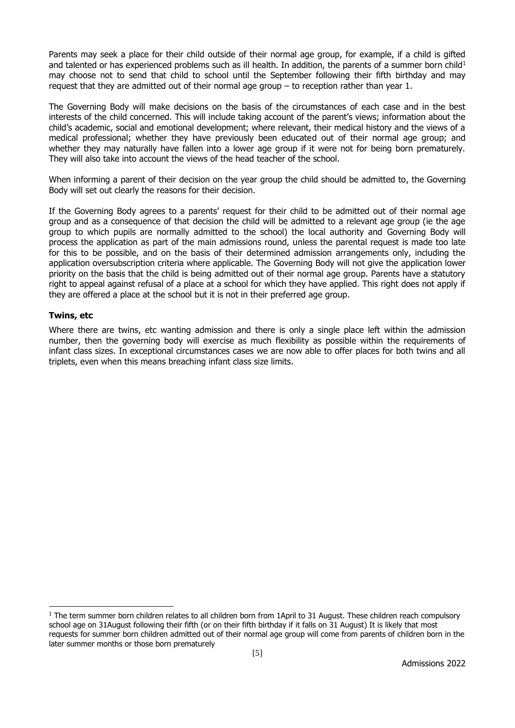Parents may seek a place for their child outside of their normal age group, for example, if a child is gifted and talented or has experienced problems such as ill health. In addition, the parents of a summer born child<sup>1</sup> may choose not to send that child to school until the September following their fifth birthday and may request that they are admitted out of their normal age group – to reception rather than year 1.

The Governing Body will make decisions on the basis of the circumstances of each case and in the best interests of the child concerned. This will include taking account of the parent's views; information about the child's academic, social and emotional development; where relevant, their medical history and the views of a medical professional; whether they have previously been educated out of their normal age group; and whether they may naturally have fallen into a lower age group if it were not for being born prematurely. They will also take into account the views of the head teacher of the school.

When informing a parent of their decision on the year group the child should be admitted to, the Governing Body will set out clearly the reasons for their decision.

If the Governing Body agrees to a parents' request for their child to be admitted out of their normal age group and as a consequence of that decision the child will be admitted to a relevant age group (ie the age group to which pupils are normally admitted to the school) the local authority and Governing Body will process the application as part of the main admissions round, unless the parental request is made too late for this to be possible, and on the basis of their determined admission arrangements only, including the application oversubscription criteria where applicable. The Governing Body will not give the application lower priority on the basis that the child is being admitted out of their normal age group. Parents have a statutory right to appeal against refusal of a place at a school for which they have applied. This right does not apply if they are offered a place at the school but it is not in their preferred age group.

#### **Twins, etc**

-

Where there are twins, etc wanting admission and there is only a single place left within the admission number, then the governing body will exercise as much flexibility as possible within the requirements of infant class sizes. In exceptional circumstances cases we are now able to offer places for both twins and all triplets, even when this means breaching infant class size limits.

 $1$  The term summer born children relates to all children born from 1April to 31 August. These children reach compulsory school age on 31August following their fifth (or on their fifth birthday if it falls on 31 August) It is likely that most requests for summer born children admitted out of their normal age group will come from parents of children born in the later summer months or those born prematurely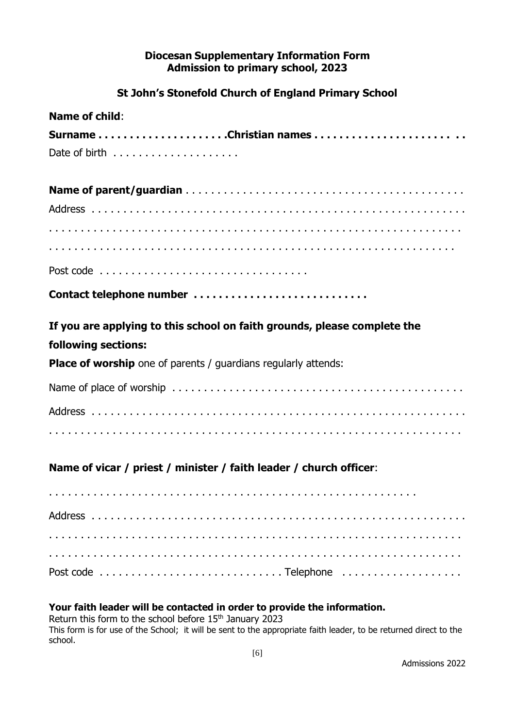### **Diocesan Supplementary Information Form Admission to primary school, 2023**

## **St John's Stonefold Church of England Primary School**

| <b>Name of child:</b>                                                    |
|--------------------------------------------------------------------------|
| SurnameChristian names                                                   |
|                                                                          |
|                                                                          |
|                                                                          |
|                                                                          |
|                                                                          |
|                                                                          |
| Contact telephone number                                                 |
| If you are applying to this school on faith grounds, please complete the |
| following sections:                                                      |
| <b>Place of worship</b> one of parents / guardians regularly attends:    |
|                                                                          |
|                                                                          |
|                                                                          |
| Name of vicar / priest / minister / faith leader / church officer:       |
|                                                                          |
|                                                                          |
|                                                                          |
|                                                                          |
|                                                                          |

### **Your faith leader will be contacted in order to provide the information.**

Return this form to the school before 15<sup>th</sup> January 2023 This form is for use of the School; it will be sent to the appropriate faith leader, to be returned direct to the school.